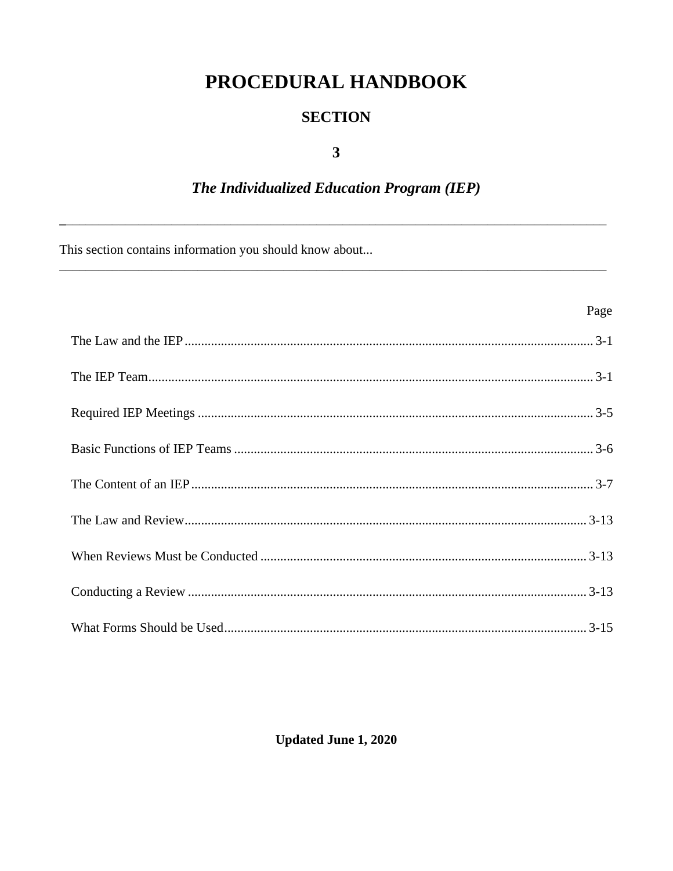# PROCEDURAL HANDBOOK

# **SECTION**

### $\overline{\mathbf{3}}$

# The Individualized Education Program (IEP)

This section contains information you should know about...

| Page |
|------|
|      |
|      |
|      |
|      |
|      |
|      |
|      |
|      |
|      |

### **Updated June 1, 2020**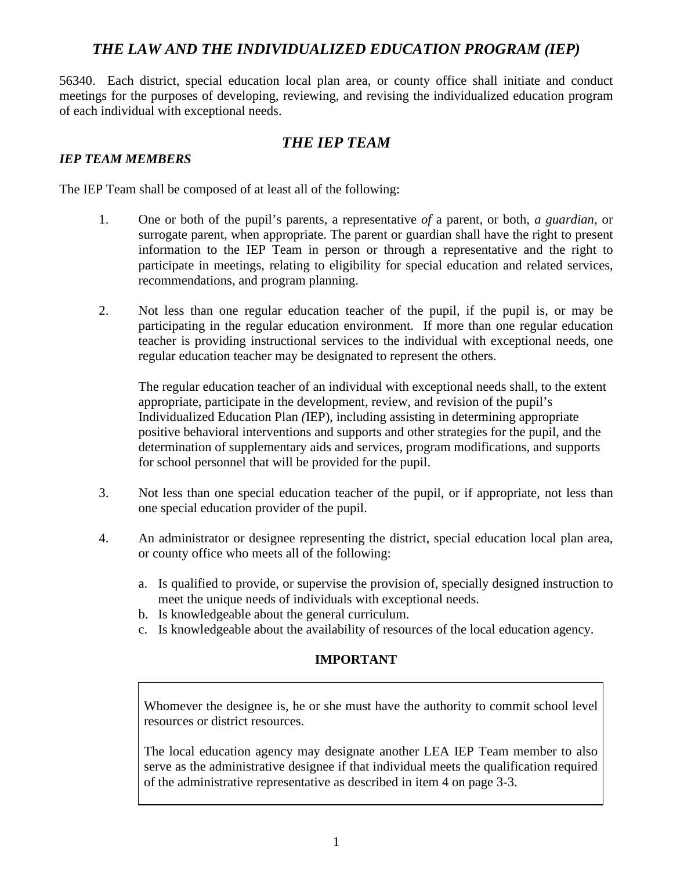## *THE LAW AND THE INDIVIDUALIZED EDUCATION PROGRAM (IEP)*

56340. Each district, special education local plan area, or county office shall initiate and conduct meetings for the purposes of developing, reviewing, and revising the individualized education program of each individual with exceptional needs.

### *THE IEP TEAM*

#### *IEP TEAM MEMBERS*

The IEP Team shall be composed of at least all of the following:

- 1. One or both of the pupil's parents, a representative *of* a parent, or both, *a guardian*, or surrogate parent, when appropriate. The parent or guardian shall have the right to present information to the IEP Team in person or through a representative and the right to participate in meetings, relating to eligibility for special education and related services, recommendations, and program planning.
- 2. Not less than one regular education teacher of the pupil, if the pupil is, or may be participating in the regular education environment. If more than one regular education teacher is providing instructional services to the individual with exceptional needs, one regular education teacher may be designated to represent the others.

The regular education teacher of an individual with exceptional needs shall, to the extent appropriate, participate in the development, review, and revision of the pupil's Individualized Education Plan *(*IEP), including assisting in determining appropriate positive behavioral interventions and supports and other strategies for the pupil, and the determination of supplementary aids and services, program modifications, and supports for school personnel that will be provided for the pupil.

- 3. Not less than one special education teacher of the pupil, or if appropriate, not less than one special education provider of the pupil.
- 4. An administrator or designee representing the district, special education local plan area, or county office who meets all of the following:
	- a. Is qualified to provide, or supervise the provision of, specially designed instruction to meet the unique needs of individuals with exceptional needs.
	- b. Is knowledgeable about the general curriculum.
	- c. Is knowledgeable about the availability of resources of the local education agency.

### **IMPORTANT**

Whomever the designee is, he or she must have the authority to commit school level resources or district resources.

The local education agency may designate another LEA IEP Team member to also serve as the administrative designee if that individual meets the qualification required of the administrative representative as described in item 4 on page 3-3.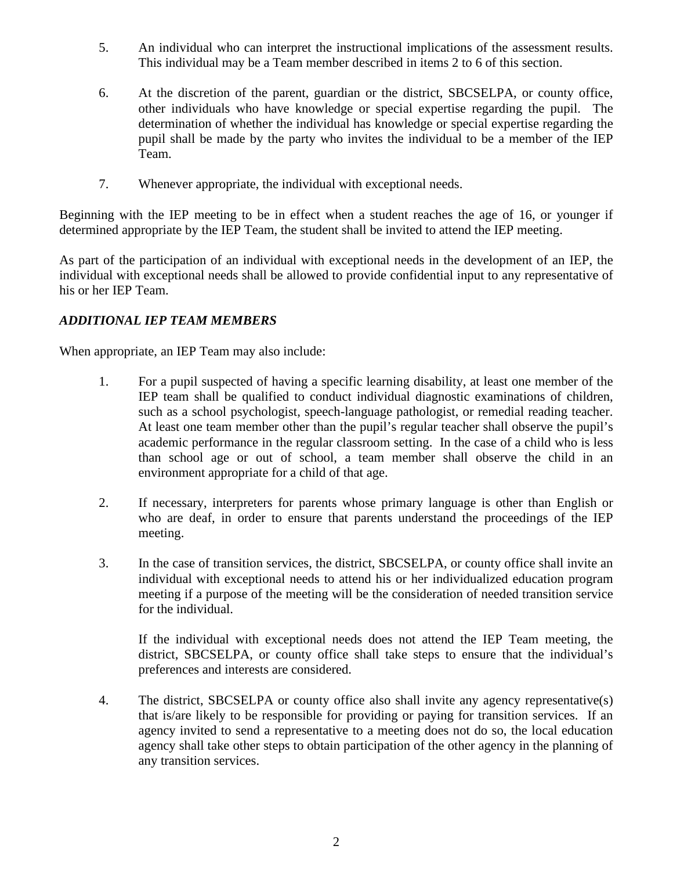- 5. An individual who can interpret the instructional implications of the assessment results. This individual may be a Team member described in items 2 to 6 of this section.
- 6. At the discretion of the parent, guardian or the district, SBCSELPA, or county office, other individuals who have knowledge or special expertise regarding the pupil. The determination of whether the individual has knowledge or special expertise regarding the pupil shall be made by the party who invites the individual to be a member of the IEP Team.
- 7. Whenever appropriate, the individual with exceptional needs.

Beginning with the IEP meeting to be in effect when a student reaches the age of 16, or younger if determined appropriate by the IEP Team, the student shall be invited to attend the IEP meeting.

As part of the participation of an individual with exceptional needs in the development of an IEP, the individual with exceptional needs shall be allowed to provide confidential input to any representative of his or her IEP Team.

### *ADDITIONAL IEP TEAM MEMBERS*

When appropriate, an IEP Team may also include:

- 1. For a pupil suspected of having a specific learning disability, at least one member of the IEP team shall be qualified to conduct individual diagnostic examinations of children, such as a school psychologist, speech-language pathologist, or remedial reading teacher. At least one team member other than the pupil's regular teacher shall observe the pupil's academic performance in the regular classroom setting. In the case of a child who is less than school age or out of school, a team member shall observe the child in an environment appropriate for a child of that age.
- 2. If necessary, interpreters for parents whose primary language is other than English or who are deaf, in order to ensure that parents understand the proceedings of the IEP meeting.
- 3. In the case of transition services, the district, SBCSELPA, or county office shall invite an individual with exceptional needs to attend his or her individualized education program meeting if a purpose of the meeting will be the consideration of needed transition service for the individual.

If the individual with exceptional needs does not attend the IEP Team meeting, the district, SBCSELPA, or county office shall take steps to ensure that the individual's preferences and interests are considered.

4. The district, SBCSELPA or county office also shall invite any agency representative(s) that is/are likely to be responsible for providing or paying for transition services. If an agency invited to send a representative to a meeting does not do so, the local education agency shall take other steps to obtain participation of the other agency in the planning of any transition services.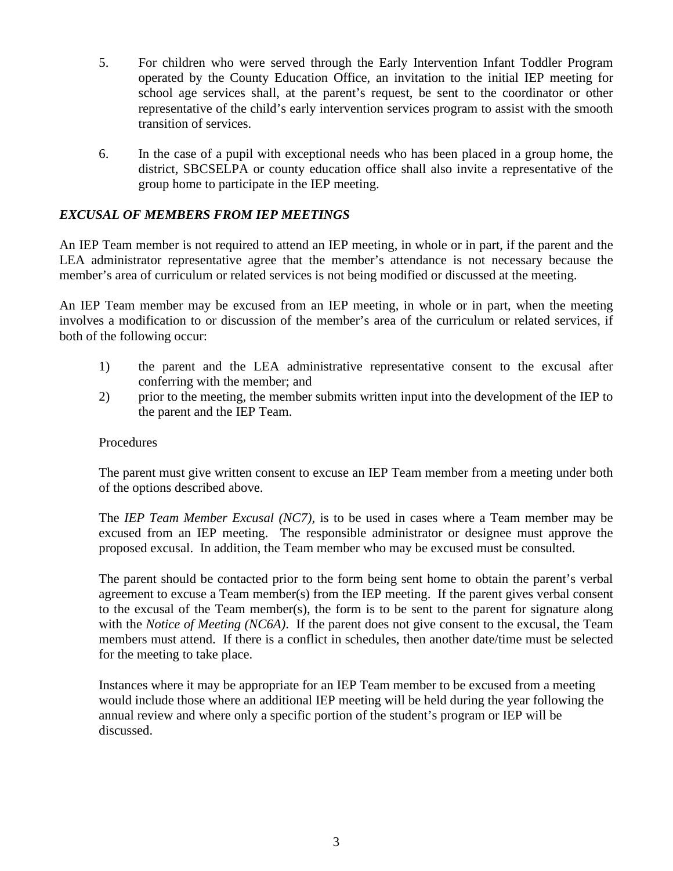- 5. For children who were served through the Early Intervention Infant Toddler Program operated by the County Education Office, an invitation to the initial IEP meeting for school age services shall, at the parent's request, be sent to the coordinator or other representative of the child's early intervention services program to assist with the smooth transition of services.
- 6. In the case of a pupil with exceptional needs who has been placed in a group home, the district, SBCSELPA or county education office shall also invite a representative of the group home to participate in the IEP meeting.

### *EXCUSAL OF MEMBERS FROM IEP MEETINGS*

An IEP Team member is not required to attend an IEP meeting, in whole or in part, if the parent and the LEA administrator representative agree that the member's attendance is not necessary because the member's area of curriculum or related services is not being modified or discussed at the meeting.

An IEP Team member may be excused from an IEP meeting, in whole or in part, when the meeting involves a modification to or discussion of the member's area of the curriculum or related services, if both of the following occur:

- 1) the parent and the LEA administrative representative consent to the excusal after conferring with the member; and
- 2) prior to the meeting, the member submits written input into the development of the IEP to the parent and the IEP Team.

#### **Procedures**

The parent must give written consent to excuse an IEP Team member from a meeting under both of the options described above.

The *IEP Team Member Excusal (NC7),* is to be used in cases where a Team member may be excused from an IEP meeting. The responsible administrator or designee must approve the proposed excusal. In addition, the Team member who may be excused must be consulted.

The parent should be contacted prior to the form being sent home to obtain the parent's verbal agreement to excuse a Team member(s) from the IEP meeting. If the parent gives verbal consent to the excusal of the Team member(s), the form is to be sent to the parent for signature along with the *Notice of Meeting (NC6A)*. If the parent does not give consent to the excusal, the Team members must attend. If there is a conflict in schedules, then another date/time must be selected for the meeting to take place.

Instances where it may be appropriate for an IEP Team member to be excused from a meeting would include those where an additional IEP meeting will be held during the year following the annual review and where only a specific portion of the student's program or IEP will be discussed.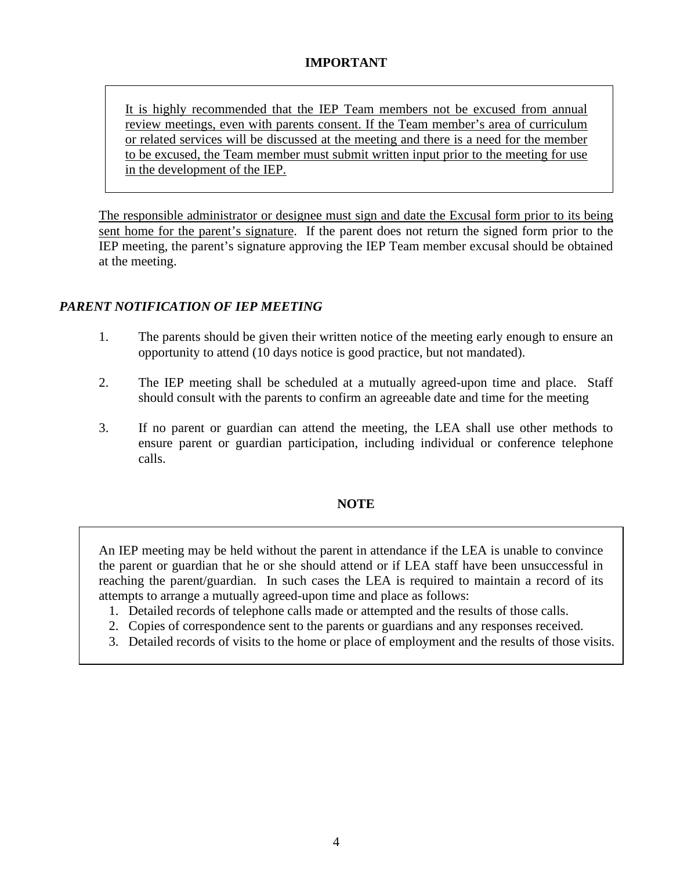### **IMPORTANT**

It is highly recommended that the IEP Team members not be excused from annual review meetings, even with parents consent. If the Team member's area of curriculum or related services will be discussed at the meeting and there is a need for the member to be excused, the Team member must submit written input prior to the meeting for use in the development of the IEP.

The responsible administrator or designee must sign and date the Excusal form prior to its being sent home for the parent's signature. If the parent does not return the signed form prior to the IEP meeting, the parent's signature approving the IEP Team member excusal should be obtained at the meeting.

### *PARENT NOTIFICATION OF IEP MEETING*

- 1. The parents should be given their written notice of the meeting early enough to ensure an opportunity to attend (10 days notice is good practice, but not mandated).
- 2. The IEP meeting shall be scheduled at a mutually agreed-upon time and place. Staff should consult with the parents to confirm an agreeable date and time for the meeting
- 3. If no parent or guardian can attend the meeting, the LEA shall use other methods to ensure parent or guardian participation, including individual or conference telephone calls.

#### **NOTE**

An IEP meeting may be held without the parent in attendance if the LEA is unable to convince the parent or guardian that he or she should attend or if LEA staff have been unsuccessful in reaching the parent/guardian. In such cases the LEA is required to maintain a record of its attempts to arrange a mutually agreed-upon time and place as follows:

- 1. Detailed records of telephone calls made or attempted and the results of those calls.
- 2. Copies of correspondence sent to the parents or guardians and any responses received.
- 3. Detailed records of visits to the home or place of employment and the results of those visits.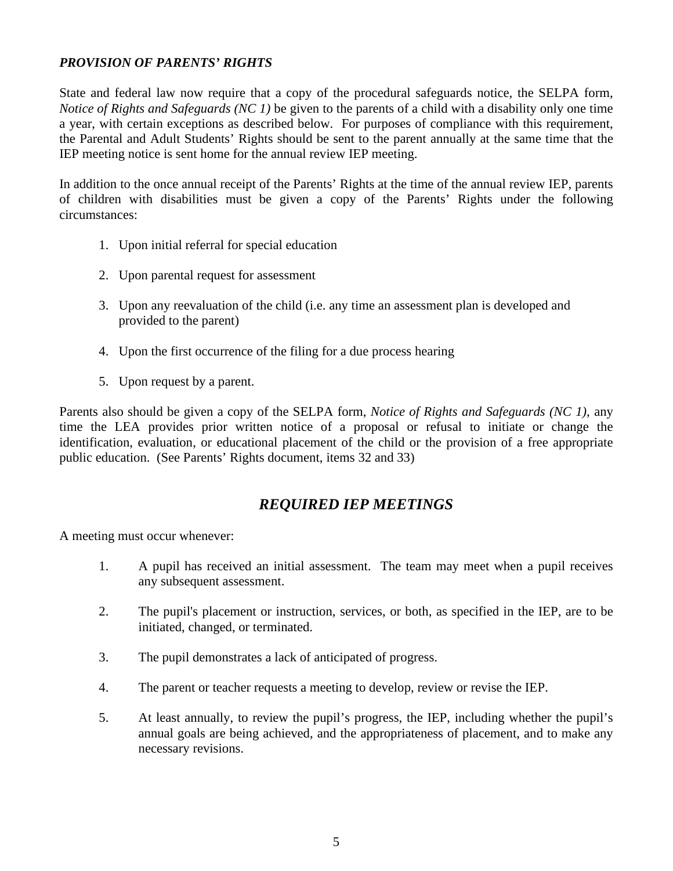### *PROVISION OF PARENTS' RIGHTS*

State and federal law now require that a copy of the procedural safeguards notice, the SELPA form, *Notice of Rights and Safeguards (NC 1)* be given to the parents of a child with a disability only one time a year, with certain exceptions as described below. For purposes of compliance with this requirement, the Parental and Adult Students' Rights should be sent to the parent annually at the same time that the IEP meeting notice is sent home for the annual review IEP meeting.

In addition to the once annual receipt of the Parents' Rights at the time of the annual review IEP, parents of children with disabilities must be given a copy of the Parents' Rights under the following circumstances:

- 1. Upon initial referral for special education
- 2. Upon parental request for assessment
- 3. Upon any reevaluation of the child (i.e. any time an assessment plan is developed and provided to the parent)
- 4. Upon the first occurrence of the filing for a due process hearing
- 5. Upon request by a parent.

Parents also should be given a copy of the SELPA form, *Notice of Rights and Safeguards (NC 1)*, any time the LEA provides prior written notice of a proposal or refusal to initiate or change the identification, evaluation, or educational placement of the child or the provision of a free appropriate public education. (See Parents' Rights document, items 32 and 33)

## *REQUIRED IEP MEETINGS*

A meeting must occur whenever:

- 1. A pupil has received an initial assessment. The team may meet when a pupil receives any subsequent assessment.
- 2. The pupil's placement or instruction, services, or both, as specified in the IEP, are to be initiated, changed, or terminated.
- 3. The pupil demonstrates a lack of anticipated of progress.
- 4. The parent or teacher requests a meeting to develop, review or revise the IEP.
- 5. At least annually, to review the pupil's progress, the IEP, including whether the pupil's annual goals are being achieved, and the appropriateness of placement, and to make any necessary revisions.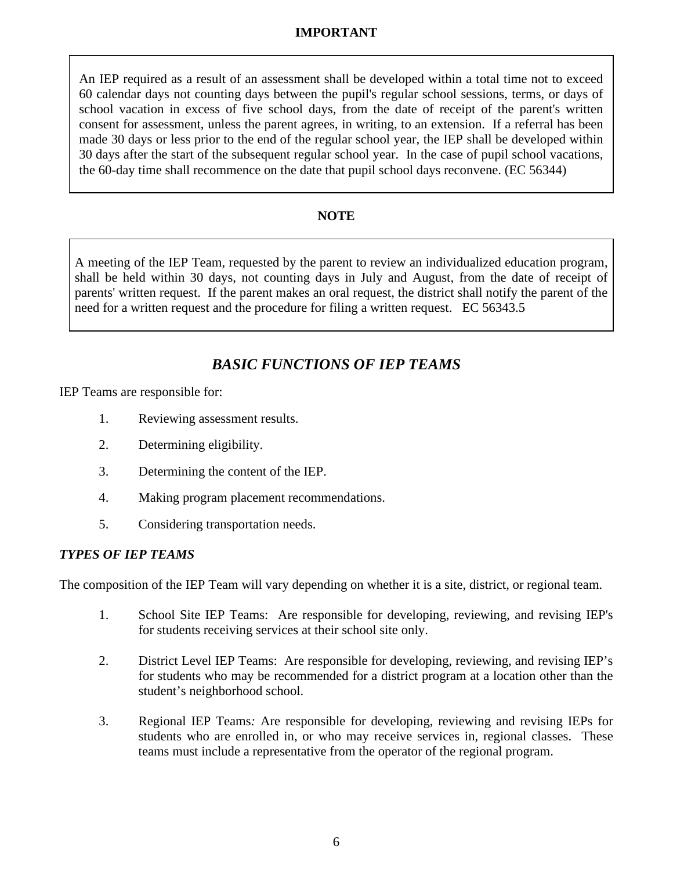### **IMPORTANT**

An IEP required as a result of an assessment shall be developed within a total time not to exceed 60 calendar days not counting days between the pupil's regular school sessions, terms, or days of school vacation in excess of five school days, from the date of receipt of the parent's written consent for assessment, unless the parent agrees, in writing, to an extension. If a referral has been made 30 days or less prior to the end of the regular school year, the IEP shall be developed within 30 days after the start of the subsequent regular school year. In the case of pupil school vacations, the 60-day time shall recommence on the date that pupil school days reconvene. (EC 56344)

#### **NOTE**

A meeting of the IEP Team, requested by the parent to review an individualized education program, shall be held within 30 days, not counting days in July and August, from the date of receipt of parents' written request. If the parent makes an oral request, the district shall notify the parent of the need for a written request and the procedure for filing a written request. EC 56343.5

# *BASIC FUNCTIONS OF IEP TEAMS*

IEP Teams are responsible for:

- 1. Reviewing assessment results.
- 2. Determining eligibility.
- 3. Determining the content of the IEP.
- 4. Making program placement recommendations.
- 5. Considering transportation needs.

#### *TYPES OF IEP TEAMS*

The composition of the IEP Team will vary depending on whether it is a site, district, or regional team.

- 1. School Site IEP Teams: Are responsible for developing, reviewing, and revising IEP's for students receiving services at their school site only.
- 2. District Level IEP Teams: Are responsible for developing, reviewing, and revising IEP's for students who may be recommended for a district program at a location other than the student's neighborhood school.
- 3. Regional IEP Teams*:* Are responsible for developing, reviewing and revising IEPs for students who are enrolled in, or who may receive services in, regional classes. These teams must include a representative from the operator of the regional program.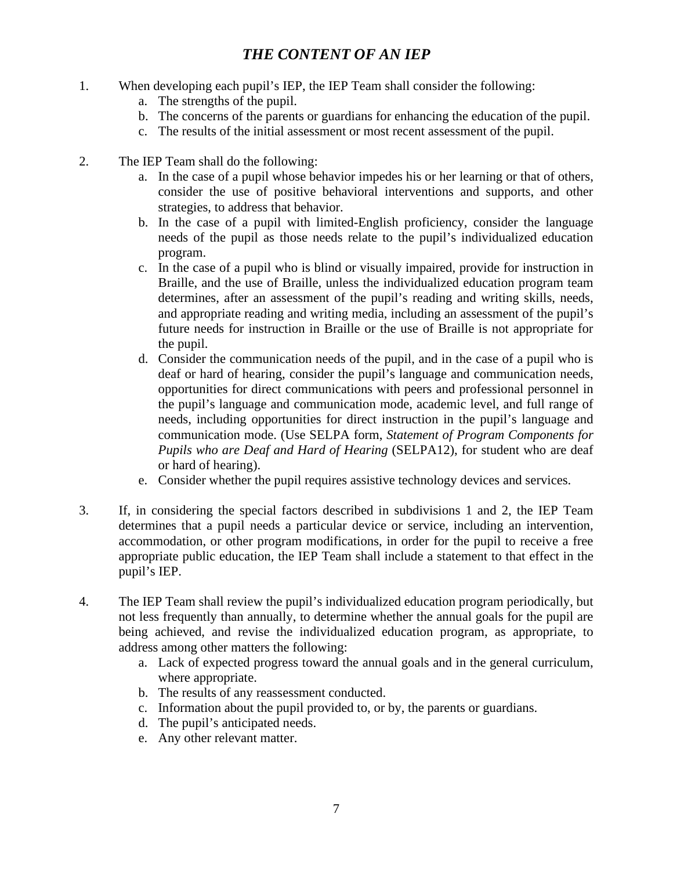# *THE CONTENT OF AN IEP*

- 1. When developing each pupil's IEP, the IEP Team shall consider the following:
	- a. The strengths of the pupil.
	- b. The concerns of the parents or guardians for enhancing the education of the pupil.
	- c. The results of the initial assessment or most recent assessment of the pupil.
- 2. The IEP Team shall do the following:
	- a. In the case of a pupil whose behavior impedes his or her learning or that of others, consider the use of positive behavioral interventions and supports, and other strategies, to address that behavior.
	- b. In the case of a pupil with limited-English proficiency, consider the language needs of the pupil as those needs relate to the pupil's individualized education program.
	- c. In the case of a pupil who is blind or visually impaired, provide for instruction in Braille, and the use of Braille, unless the individualized education program team determines, after an assessment of the pupil's reading and writing skills, needs, and appropriate reading and writing media, including an assessment of the pupil's future needs for instruction in Braille or the use of Braille is not appropriate for the pupil.
	- d. Consider the communication needs of the pupil, and in the case of a pupil who is deaf or hard of hearing, consider the pupil's language and communication needs, opportunities for direct communications with peers and professional personnel in the pupil's language and communication mode, academic level, and full range of needs, including opportunities for direct instruction in the pupil's language and communication mode. (Use SELPA form, *Statement of Program Components for Pupils who are Deaf and Hard of Hearing* (SELPA12), for student who are deaf or hard of hearing).
	- e. Consider whether the pupil requires assistive technology devices and services.
- 3. If, in considering the special factors described in subdivisions 1 and 2, the IEP Team determines that a pupil needs a particular device or service, including an intervention, accommodation, or other program modifications, in order for the pupil to receive a free appropriate public education, the IEP Team shall include a statement to that effect in the pupil's IEP.
- 4. The IEP Team shall review the pupil's individualized education program periodically, but not less frequently than annually, to determine whether the annual goals for the pupil are being achieved, and revise the individualized education program, as appropriate, to address among other matters the following:
	- a. Lack of expected progress toward the annual goals and in the general curriculum, where appropriate.
	- b. The results of any reassessment conducted.
	- c. Information about the pupil provided to, or by, the parents or guardians.
	- d. The pupil's anticipated needs.
	- e. Any other relevant matter.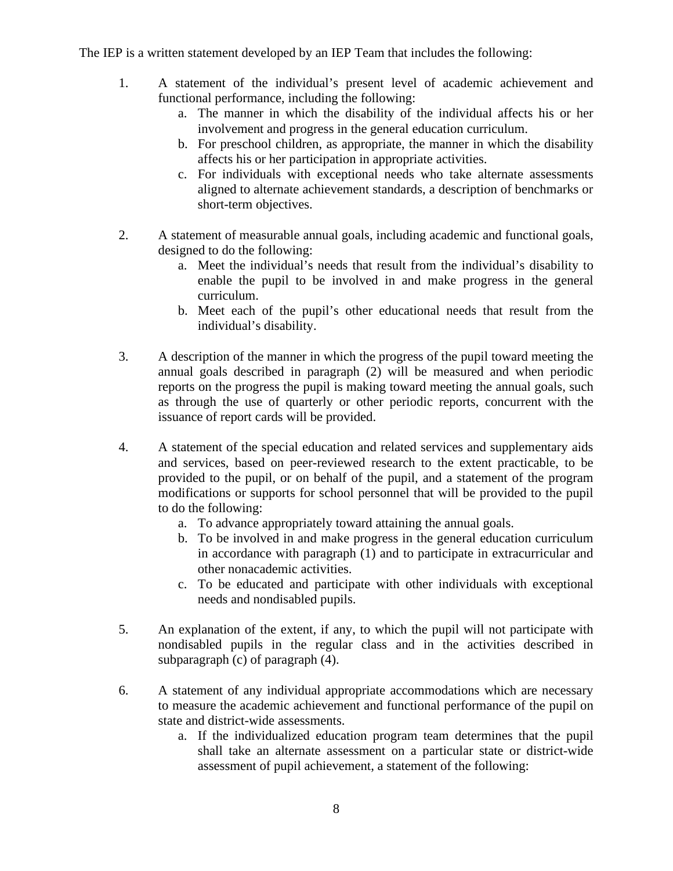#### The IEP is a written statement developed by an IEP Team that includes the following:

- 1. A statement of the individual's present level of academic achievement and functional performance, including the following:
	- a. The manner in which the disability of the individual affects his or her involvement and progress in the general education curriculum.
	- b. For preschool children, as appropriate, the manner in which the disability affects his or her participation in appropriate activities.
	- c. For individuals with exceptional needs who take alternate assessments aligned to alternate achievement standards, a description of benchmarks or short-term objectives.
- 2. A statement of measurable annual goals, including academic and functional goals, designed to do the following:
	- a. Meet the individual's needs that result from the individual's disability to enable the pupil to be involved in and make progress in the general curriculum.
	- b. Meet each of the pupil's other educational needs that result from the individual's disability.
- 3. A description of the manner in which the progress of the pupil toward meeting the annual goals described in paragraph (2) will be measured and when periodic reports on the progress the pupil is making toward meeting the annual goals, such as through the use of quarterly or other periodic reports, concurrent with the issuance of report cards will be provided.
- 4. A statement of the special education and related services and supplementary aids and services, based on peer-reviewed research to the extent practicable, to be provided to the pupil, or on behalf of the pupil, and a statement of the program modifications or supports for school personnel that will be provided to the pupil to do the following:
	- a. To advance appropriately toward attaining the annual goals.
	- b. To be involved in and make progress in the general education curriculum in accordance with paragraph (1) and to participate in extracurricular and other nonacademic activities.
	- c. To be educated and participate with other individuals with exceptional needs and nondisabled pupils.
- 5. An explanation of the extent, if any, to which the pupil will not participate with nondisabled pupils in the regular class and in the activities described in subparagraph (c) of paragraph (4).
- 6. A statement of any individual appropriate accommodations which are necessary to measure the academic achievement and functional performance of the pupil on state and district-wide assessments.
	- a. If the individualized education program team determines that the pupil shall take an alternate assessment on a particular state or district-wide assessment of pupil achievement, a statement of the following: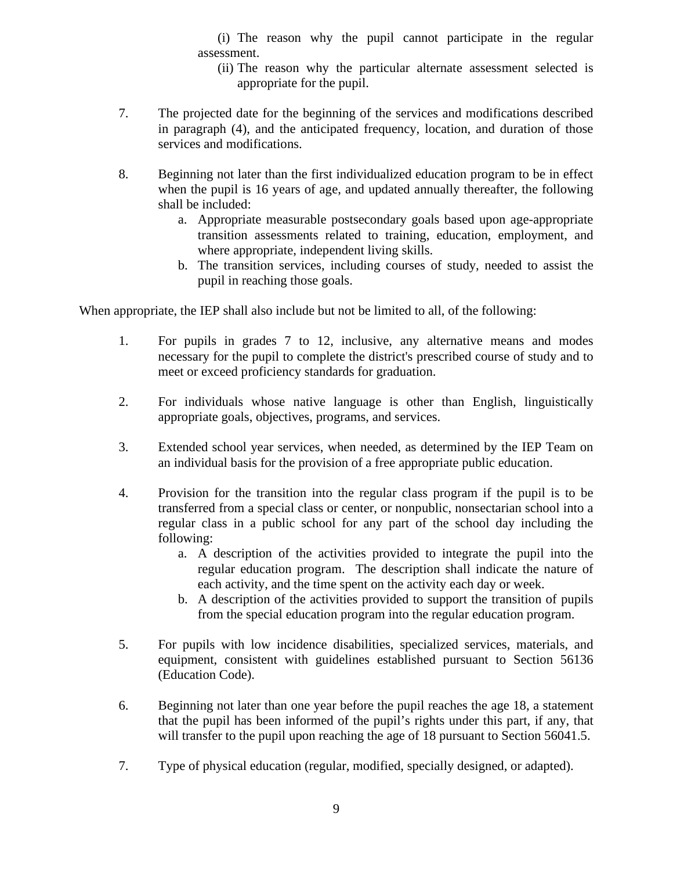(i) The reason why the pupil cannot participate in the regular assessment.

- (ii) The reason why the particular alternate assessment selected is appropriate for the pupil.
- 7. The projected date for the beginning of the services and modifications described in paragraph (4), and the anticipated frequency, location, and duration of those services and modifications.
- 8. Beginning not later than the first individualized education program to be in effect when the pupil is 16 years of age, and updated annually thereafter, the following shall be included:
	- a. Appropriate measurable postsecondary goals based upon age-appropriate transition assessments related to training, education, employment, and where appropriate, independent living skills.
	- b. The transition services, including courses of study, needed to assist the pupil in reaching those goals.

When appropriate, the IEP shall also include but not be limited to all, of the following:

- 1. For pupils in grades 7 to 12, inclusive, any alternative means and modes necessary for the pupil to complete the district's prescribed course of study and to meet or exceed proficiency standards for graduation.
- 2. For individuals whose native language is other than English, linguistically appropriate goals, objectives, programs, and services.
- 3. Extended school year services, when needed, as determined by the IEP Team on an individual basis for the provision of a free appropriate public education.
- 4. Provision for the transition into the regular class program if the pupil is to be transferred from a special class or center, or nonpublic, nonsectarian school into a regular class in a public school for any part of the school day including the following:
	- a. A description of the activities provided to integrate the pupil into the regular education program. The description shall indicate the nature of each activity, and the time spent on the activity each day or week.
	- b. A description of the activities provided to support the transition of pupils from the special education program into the regular education program.
- 5. For pupils with low incidence disabilities, specialized services, materials, and equipment, consistent with guidelines established pursuant to Section 56136 (Education Code).
- 6. Beginning not later than one year before the pupil reaches the age 18, a statement that the pupil has been informed of the pupil's rights under this part, if any, that will transfer to the pupil upon reaching the age of 18 pursuant to Section 56041.5.
- 7. Type of physical education (regular, modified, specially designed, or adapted).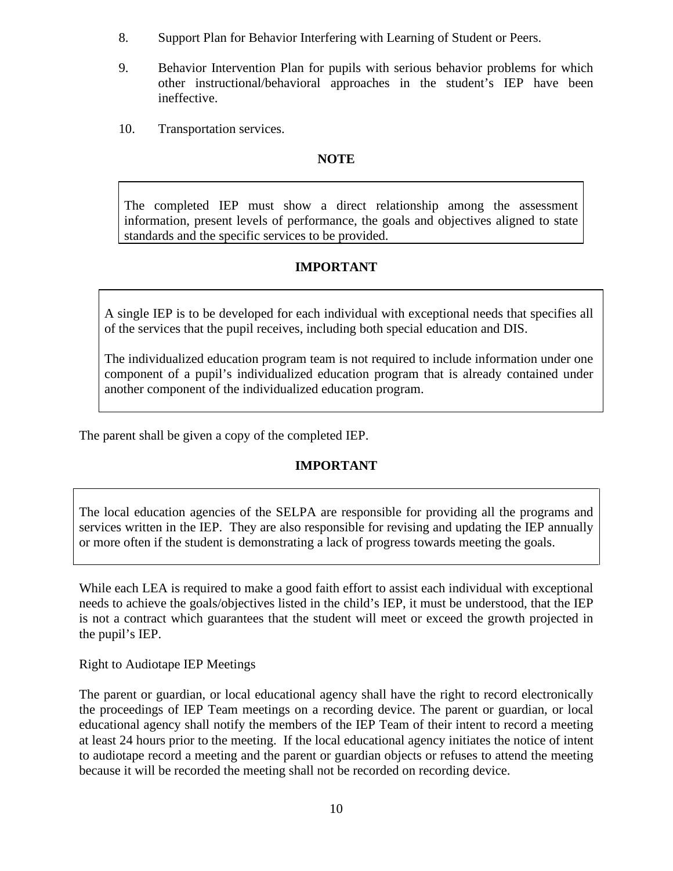- 8. Support Plan for Behavior Interfering with Learning of Student or Peers.
- 9. Behavior Intervention Plan for pupils with serious behavior problems for which other instructional/behavioral approaches in the student's IEP have been ineffective.
- 10. Transportation services.

#### **NOTE**

The completed IEP must show a direct relationship among the assessment information, present levels of performance, the goals and objectives aligned to state standards and the specific services to be provided.

### **IMPORTANT**

A single IEP is to be developed for each individual with exceptional needs that specifies all of the services that the pupil receives, including both special education and DIS.

The individualized education program team is not required to include information under one component of a pupil's individualized education program that is already contained under another component of the individualized education program.

The parent shall be given a copy of the completed IEP.

#### **IMPORTANT**

The local education agencies of the SELPA are responsible for providing all the programs and services written in the IEP. They are also responsible for revising and updating the IEP annually or more often if the student is demonstrating a lack of progress towards meeting the goals.

While each LEA is required to make a good faith effort to assist each individual with exceptional needs to achieve the goals/objectives listed in the child's IEP, it must be understood, that the IEP is not a contract which guarantees that the student will meet or exceed the growth projected in the pupil's IEP.

Right to Audiotape IEP Meetings

The parent or guardian, or local educational agency shall have the right to record electronically the proceedings of IEP Team meetings on a recording device. The parent or guardian, or local educational agency shall notify the members of the IEP Team of their intent to record a meeting at least 24 hours prior to the meeting. If the local educational agency initiates the notice of intent to audiotape record a meeting and the parent or guardian objects or refuses to attend the meeting because it will be recorded the meeting shall not be recorded on recording device.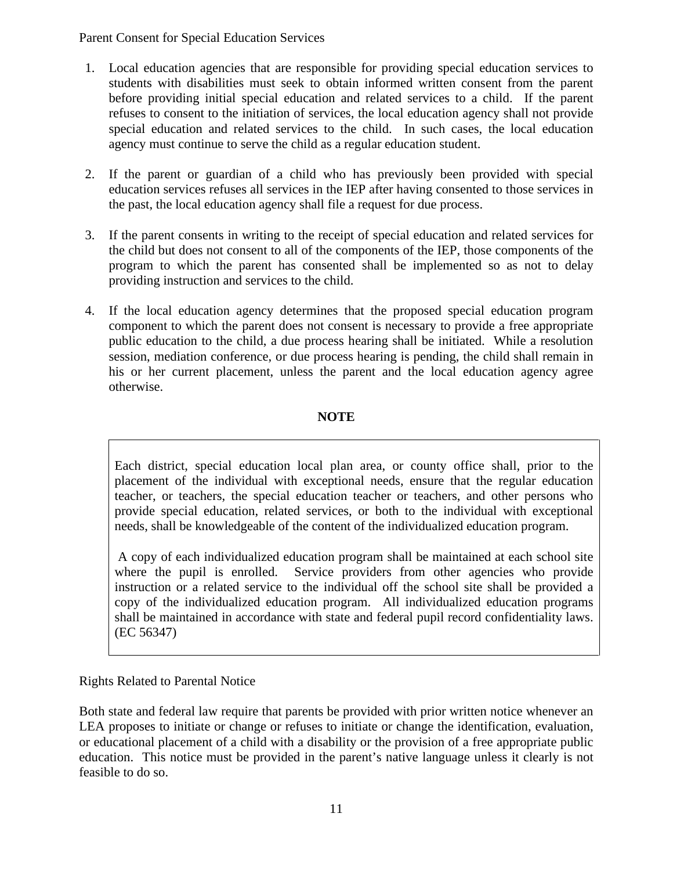Parent Consent for Special Education Services

- 1. Local education agencies that are responsible for providing special education services to students with disabilities must seek to obtain informed written consent from the parent before providing initial special education and related services to a child. If the parent refuses to consent to the initiation of services, the local education agency shall not provide special education and related services to the child. In such cases, the local education agency must continue to serve the child as a regular education student.
- 2. If the parent or guardian of a child who has previously been provided with special education services refuses all services in the IEP after having consented to those services in the past, the local education agency shall file a request for due process.
- 3. If the parent consents in writing to the receipt of special education and related services for the child but does not consent to all of the components of the IEP, those components of the program to which the parent has consented shall be implemented so as not to delay providing instruction and services to the child.
- 4. If the local education agency determines that the proposed special education program component to which the parent does not consent is necessary to provide a free appropriate public education to the child, a due process hearing shall be initiated. While a resolution session, mediation conference, or due process hearing is pending, the child shall remain in his or her current placement, unless the parent and the local education agency agree otherwise.

### **NOTE**

Each district, special education local plan area, or county office shall, prior to the placement of the individual with exceptional needs, ensure that the regular education teacher, or teachers, the special education teacher or teachers, and other persons who provide special education, related services, or both to the individual with exceptional needs, shall be knowledgeable of the content of the individualized education program.

A copy of each individualized education program shall be maintained at each school site where the pupil is enrolled. Service providers from other agencies who provide instruction or a related service to the individual off the school site shall be provided a copy of the individualized education program. All individualized education programs shall be maintained in accordance with state and federal pupil record confidentiality laws. (EC 56347)

### Rights Related to Parental Notice

Both state and federal law require that parents be provided with prior written notice whenever an LEA proposes to initiate or change or refuses to initiate or change the identification, evaluation, or educational placement of a child with a disability or the provision of a free appropriate public education. This notice must be provided in the parent's native language unless it clearly is not feasible to do so.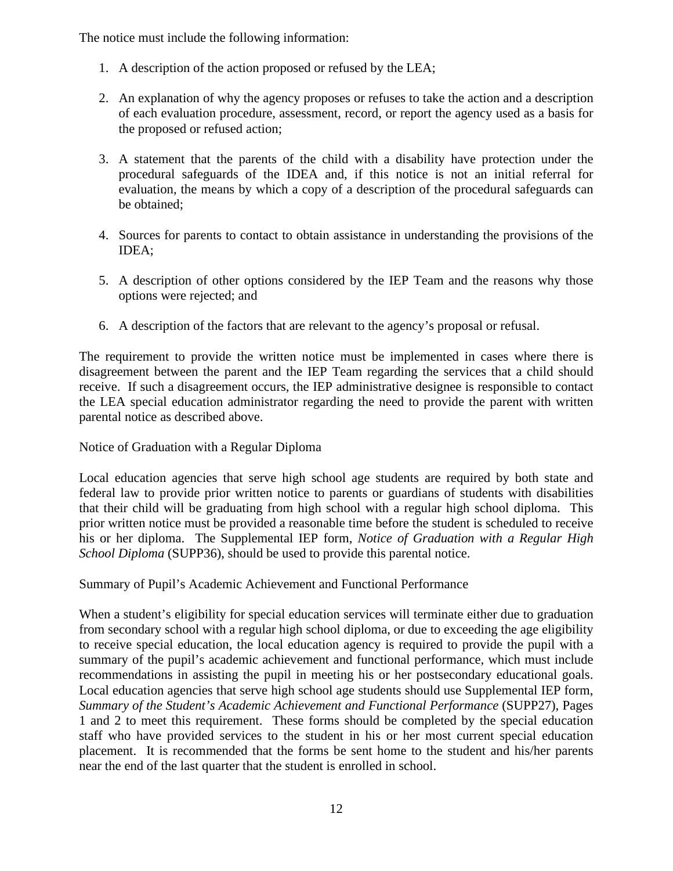The notice must include the following information:

- 1. A description of the action proposed or refused by the LEA;
- 2. An explanation of why the agency proposes or refuses to take the action and a description of each evaluation procedure, assessment, record, or report the agency used as a basis for the proposed or refused action;
- 3. A statement that the parents of the child with a disability have protection under the procedural safeguards of the IDEA and, if this notice is not an initial referral for evaluation, the means by which a copy of a description of the procedural safeguards can be obtained;
- 4. Sources for parents to contact to obtain assistance in understanding the provisions of the IDEA;
- 5. A description of other options considered by the IEP Team and the reasons why those options were rejected; and
- 6. A description of the factors that are relevant to the agency's proposal or refusal.

The requirement to provide the written notice must be implemented in cases where there is disagreement between the parent and the IEP Team regarding the services that a child should receive. If such a disagreement occurs, the IEP administrative designee is responsible to contact the LEA special education administrator regarding the need to provide the parent with written parental notice as described above.

Notice of Graduation with a Regular Diploma

Local education agencies that serve high school age students are required by both state and federal law to provide prior written notice to parents or guardians of students with disabilities that their child will be graduating from high school with a regular high school diploma. This prior written notice must be provided a reasonable time before the student is scheduled to receive his or her diploma. The Supplemental IEP form, *Notice of Graduation with a Regular High School Diploma* (SUPP36), should be used to provide this parental notice.

Summary of Pupil's Academic Achievement and Functional Performance

When a student's eligibility for special education services will terminate either due to graduation from secondary school with a regular high school diploma, or due to exceeding the age eligibility to receive special education, the local education agency is required to provide the pupil with a summary of the pupil's academic achievement and functional performance, which must include recommendations in assisting the pupil in meeting his or her postsecondary educational goals. Local education agencies that serve high school age students should use Supplemental IEP form, *Summary of the Student's Academic Achievement and Functional Performance* (SUPP27), Pages 1 and 2 to meet this requirement. These forms should be completed by the special education staff who have provided services to the student in his or her most current special education placement. It is recommended that the forms be sent home to the student and his/her parents near the end of the last quarter that the student is enrolled in school.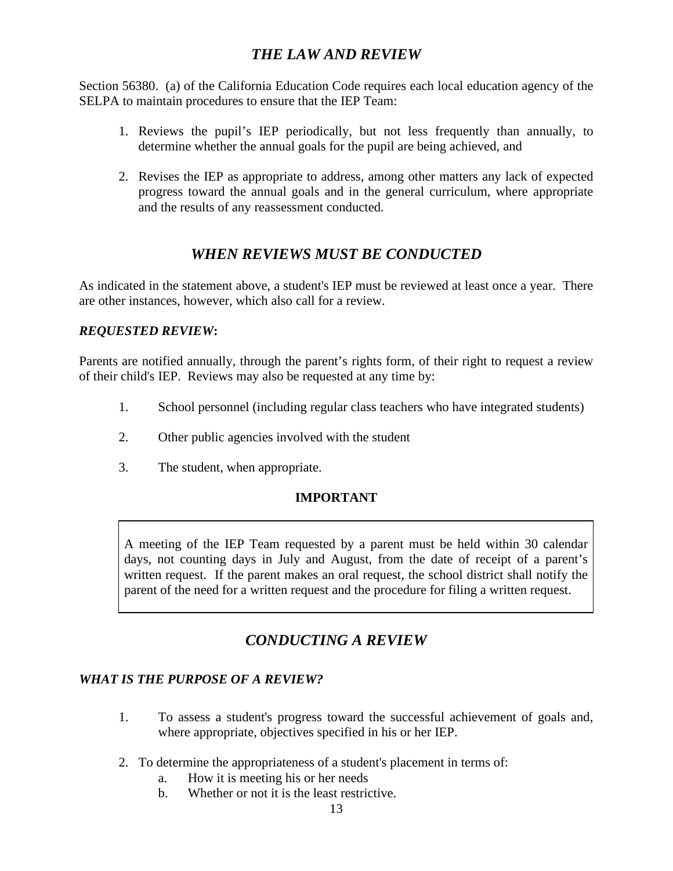# *THE LAW AND REVIEW*

Section 56380. (a) of the California Education Code requires each local education agency of the SELPA to maintain procedures to ensure that the IEP Team:

- 1. Reviews the pupil's IEP periodically, but not less frequently than annually, to determine whether the annual goals for the pupil are being achieved, and
- 2. Revises the IEP as appropriate to address, among other matters any lack of expected progress toward the annual goals and in the general curriculum, where appropriate and the results of any reassessment conducted.

# *WHEN REVIEWS MUST BE CONDUCTED*

As indicated in the statement above, a student's IEP must be reviewed at least once a year. There are other instances, however, which also call for a review.

### *REQUESTED REVIEW***:**

Parents are notified annually, through the parent's rights form, of their right to request a review of their child's IEP. Reviews may also be requested at any time by:

- 1. School personnel (including regular class teachers who have integrated students)
- 2. Other public agencies involved with the student
- 3. The student, when appropriate.

### **IMPORTANT**

A meeting of the IEP Team requested by a parent must be held within 30 calendar days, not counting days in July and August, from the date of receipt of a parent's written request. If the parent makes an oral request, the school district shall notify the parent of the need for a written request and the procedure for filing a written request.

# *CONDUCTING A REVIEW*

#### *WHAT IS THE PURPOSE OF A REVIEW?*

- 1. To assess a student's progress toward the successful achievement of goals and, where appropriate, objectives specified in his or her IEP.
- 2. To determine the appropriateness of a student's placement in terms of:
	- a. How it is meeting his or her needs
	- b. Whether or not it is the least restrictive.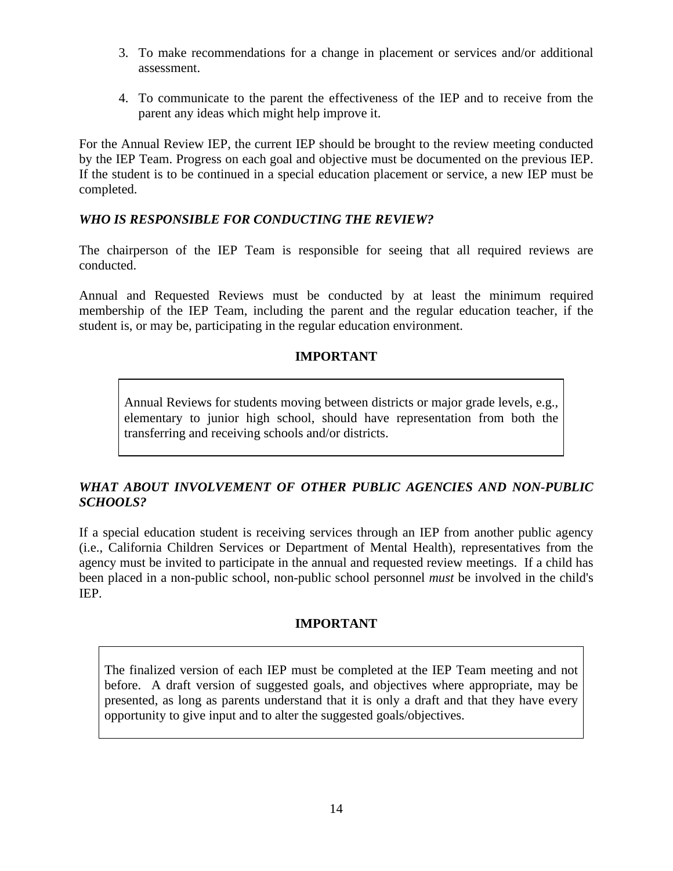- 3. To make recommendations for a change in placement or services and/or additional assessment.
- 4. To communicate to the parent the effectiveness of the IEP and to receive from the parent any ideas which might help improve it.

For the Annual Review IEP, the current IEP should be brought to the review meeting conducted by the IEP Team. Progress on each goal and objective must be documented on the previous IEP. If the student is to be continued in a special education placement or service, a new IEP must be completed.

#### *WHO IS RESPONSIBLE FOR CONDUCTING THE REVIEW?*

The chairperson of the IEP Team is responsible for seeing that all required reviews are conducted.

Annual and Requested Reviews must be conducted by at least the minimum required membership of the IEP Team, including the parent and the regular education teacher, if the student is, or may be, participating in the regular education environment.

#### **IMPORTANT**

Annual Reviews for students moving between districts or major grade levels, e.g., elementary to junior high school, should have representation from both the transferring and receiving schools and/or districts.

### *WHAT ABOUT INVOLVEMENT OF OTHER PUBLIC AGENCIES AND NON-PUBLIC SCHOOLS?*

If a special education student is receiving services through an IEP from another public agency (i.e., California Children Services or Department of Mental Health), representatives from the agency must be invited to participate in the annual and requested review meetings. If a child has been placed in a non-public school, non-public school personnel *must* be involved in the child's IEP.

#### **IMPORTANT**

The finalized version of each IEP must be completed at the IEP Team meeting and not before. A draft version of suggested goals, and objectives where appropriate, may be presented, as long as parents understand that it is only a draft and that they have every opportunity to give input and to alter the suggested goals/objectives.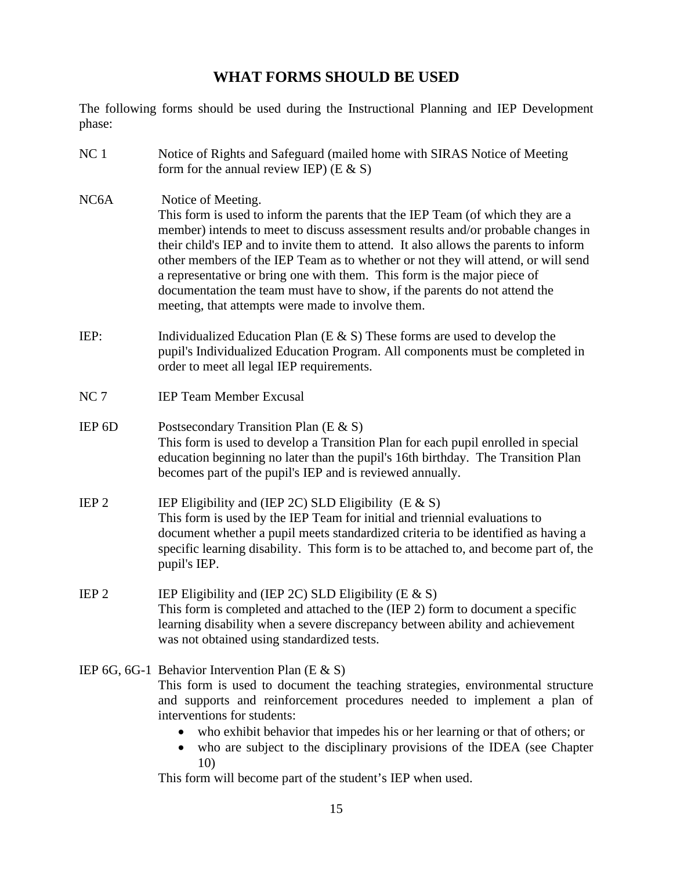## **WHAT FORMS SHOULD BE USED**

The following forms should be used during the Instructional Planning and IEP Development phase:

- NC 1 Notice of Rights and Safeguard (mailed home with SIRAS Notice of Meeting form for the annual review IEP)  $(E & S)$
- NC6A Notice of Meeting. This form is used to inform the parents that the IEP Team (of which they are a member) intends to meet to discuss assessment results and/or probable changes in their child's IEP and to invite them to attend. It also allows the parents to inform other members of the IEP Team as to whether or not they will attend, or will send a representative or bring one with them. This form is the major piece of documentation the team must have to show, if the parents do not attend the meeting, that attempts were made to involve them.
- IEP: Individualized Education Plan (E & S) These forms are used to develop the pupil's Individualized Education Program. All components must be completed in order to meet all legal IEP requirements.
- NC 7 **IEP Team Member Excusal**
- IEP 6D Postsecondary Transition Plan (E & S) This form is used to develop a Transition Plan for each pupil enrolled in special education beginning no later than the pupil's 16th birthday. The Transition Plan becomes part of the pupil's IEP and is reviewed annually.
- IEP 2 IEP Eligibility and (IEP 2C) SLD Eligibility (E  $&$  S) This form is used by the IEP Team for initial and triennial evaluations to document whether a pupil meets standardized criteria to be identified as having a specific learning disability. This form is to be attached to, and become part of, the pupil's IEP.
- IEP 2 IEP Eligibility and (IEP 2C) SLD Eligibility (E  $&$  S) This form is completed and attached to the (IEP 2) form to document a specific learning disability when a severe discrepancy between ability and achievement was not obtained using standardized tests.
- IEP 6G, 6G-1 Behavior Intervention Plan (E & S) This form is used to document the teaching strategies, environmental structure and supports and reinforcement procedures needed to implement a plan of interventions for students:
	- who exhibit behavior that impedes his or her learning or that of others; or
	- who are subject to the disciplinary provisions of the IDEA (see Chapter 10)

This form will become part of the student's IEP when used.